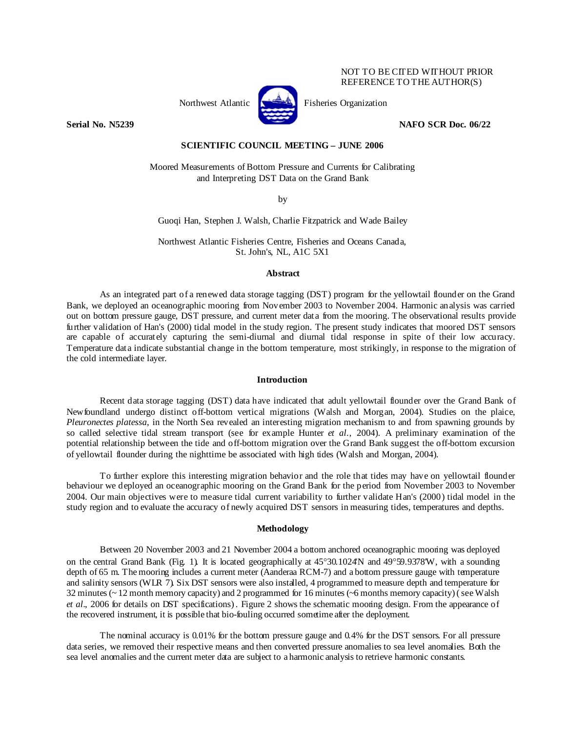# NOT TO BE CITED WITHOUT PRIOR REFERENCE TO THE AUTHOR(S)



Northwest Atlantic Fisheries Organization

**Serial No. N5239 NAFO SCR Doc. 06/22** 

#### **SCIENTIFIC COUNCIL MEETING – JUNE 2006**

Moored Measurements of Bottom Pressure and Currents for Calibrating and Interpreting DST Data on the Grand Bank

by

Guoqi Han, Stephen J. Walsh, Charlie Fitzpatrick and Wade Bailey

Northwest Atlantic Fisheries Centre, Fisheries and Oceans Canada, St. John's, NL, A1C 5X1

#### **Abstract**

As an integrated part of a renewed data storage tagging (DST) program for the yellowtail flounder on the Grand Bank, we deployed an oceanographic mooring from November 2003 to November 2004. Harmonic analysis was carried out on bottom pressure gauge, DST pressure, and current meter data from the mooring. The observational results provide further validation of Han's (2000) tidal model in the study region. The present study indicates that moored DST sensors are capable of accurately capturing the semi-diurnal and diurnal tidal response in spite of their low accuracy. Temperature data indicate substantial change in the bottom temperature, most strikingly, in response to the migration of the cold intermediate layer.

## **Introduction**

Recent data storage tagging (DST) data have indicated that adult yellowtail flounder over the Grand Bank of Newfoundland undergo distinct off-bottom vertical migrations (Walsh and Morgan, 2004). Studies on the plaice, *Pleuronectes platessa*, in the North Sea revealed an interesting migration mechanism to and from spawning grounds by so called selective tidal stream transport (see for example Hunter *et al*., 2004). A preliminary examination of the potential relationship between the tide and off-bottom migration over the Grand Bank suggest the off-bottom excursion of yellowtail flounder during the nighttime be associated with high tides (Walsh and Morgan, 2004).

To further explore this interesting migration behavior and the role that tides may have on yellowtail flounder behaviour we deployed an oceanographic mooring on the Grand Bank for the period from November 2003 to November 2004. Our main objectives were to measure tidal current variability to further validate Han's (2000) tidal model in the study region and to evaluate the accuracy of newly acquired DST sensors in measuring tides, temperatures and depths.

#### **Methodology**

 Between 20 November 2003 and 21 November 2004 a bottom anchored oceanographic mooring was deployed on the central Grand Bank (Fig. 1). It is located geographically at 45°30.1024'N and 49°59.9378'W, with a sounding depth of 65 m. The mooring includes a current meter (Aanderaa RCM-7) and a bottom pressure gauge with temperature and salinity sensors (WLR 7). Six DST sensors were also installed, 4 programmed to measure depth and temperature for 32 minutes (~ 12 month memory capacity) and 2 programmed for 16 minutes (~6 months memory capacity) ( see Walsh *et al*., 2006 for details on DST specifications) . Figure 2 shows the schematic mooring design. From the appearance of the recovered instrument, it is possible that bio-fouling occurred sometime after the deployment.

 The nominal accuracy is 0.01% for the bottom pressure gauge and 0.4% for the DST sensors. For all pressure data series, we removed their respective means and then converted pressure anomalies to sea level anomalies. Both the sea level anomalies and the current meter data are subject to a harmonic analysis to retrieve harmonic constants.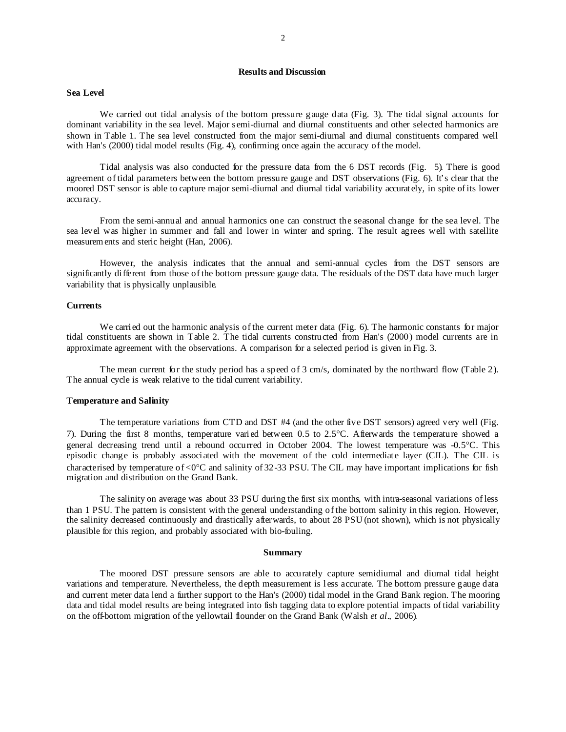## **Results and Discussion**

## **Sea Level**

We carried out tidal analysis of the bottom pressure gauge data (Fig. 3). The tidal signal accounts for dominant variability in the sea level. Major semi-diurnal and diurnal constituents and other selected harmonics are shown in Table 1. The sea level constructed from the major semi-diurnal and diurnal constituents compared well with Han's (2000) tidal model results (Fig. 4), confirming once again the accuracy of the model.

Tidal analysis was also conducted for the pressure data from the 6 DST records (Fig. 5). There is good agreement of tidal parameters between the bottom pressure gauge and DST observations (Fig. 6). It's clear that the moored DST sensor is able to capture major semi-diurnal and diurnal tidal variability accurately, in spite of its lower accuracy.

 From the semi-annual and annual harmonics one can construct the seasonal change for the sea level. The sea level was higher in summer and fall and lower in winter and spring. The result agrees well with satellite measurements and steric height (Han, 2006).

 However, the analysis indicates that the annual and semi-annual cycles from the DST sensors are significantly different from those of the bottom pressure gauge data. The residuals of the DST data have much larger variability that is physically unplausible.

# **Currents**

We carried out the harmonic analysis of the current meter data (Fig. 6). The harmonic constants for major tidal constituents are shown in Table 2. The tidal currents constructed from Han's (2000) model currents are in approximate agreement with the observations. A comparison for a selected period is given in Fig. 3.

 The mean current for the study period has a speed of 3 cm/s, dominated by the northward flow (Table 2). The annual cycle is weak relative to the tidal current variability.

#### **Temperature and Salinity**

The temperature variations from CTD and DST #4 (and the other five DST sensors) agreed very well (Fig. 7). During the first 8 months, temperature varied between 0.5 to 2.5°C. Afterwards the temperature showed a general decreasing trend until a rebound occurred in October 2004. The lowest temperature was -0.5°C. This episodic change is probably associated with the movement of the cold intermediate layer (CIL). The CIL is characterised by temperature of <0°C and salinity of 32-33 PSU. The CIL may have important implications for fish migration and distribution on the Grand Bank.

The salinity on average was about 33 PSU during the first six months, with intra-seasonal variations of less than 1 PSU. The pattern is consistent with the general understanding of the bottom salinity in this region. However, the salinity decreased continuously and drastically afterwards, to about 28 PSU (not shown), which is not physically plausible for this region, and probably associated with bio-fouling.

#### **Summary**

 The moored DST pressure sensors are able to accurately capture semidiurnal and diurnal tidal height variations and temperature. Nevertheless, the depth measurement is less accurate. The bottom pressure gauge data and current meter data lend a further support to the Han's (2000) tidal model in the Grand Bank region. The mooring data and tidal model results are being integrated into fish tagging data to explore potential impacts of tidal variability on the off-bottom migration of the yellowtail flounder on the Grand Bank (Walsh *et al*., 2006).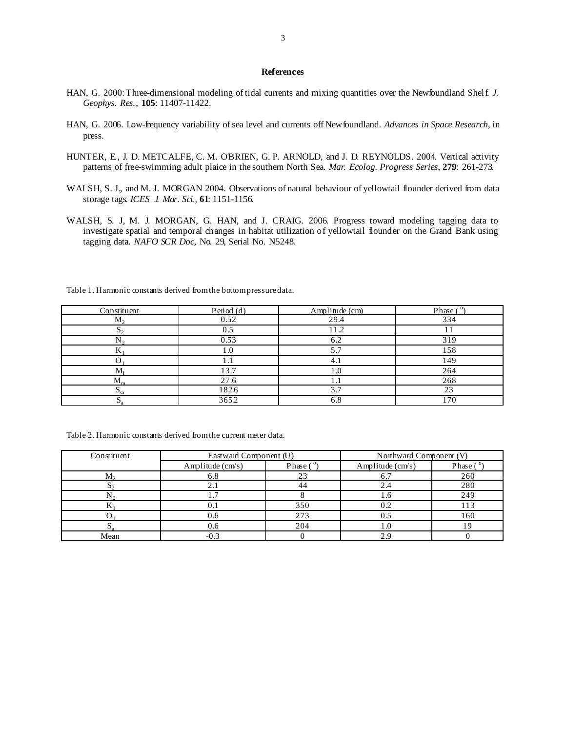## **References**

- HAN, G. 2000: Three-dimensional modeling of tidal currents and mixing quantities over the Newfoundland Shelf. *J. Geophys. Res.*, **105**: 11407-11422.
- HAN, G. 2006. Low-frequency variability of sea level and currents off Newfoundland. *Advances in Space Research*, in press.
- HUNTER, E., J. D. METCALFE, C. M. O'BRIEN, G. P. ARNOLD, and J. D. REYNOLDS. 2004. Vertical activity patterns of free-swimming adult plaice in the southern North Sea. *Mar. Ecolog. Progress Series*, **279**: 261-273.
- WALSH, S. J., and M. J. MORGAN 2004. Observations of natural behaviour of yellowtail flounder derived from data storage tags. *ICES J. Mar. Sci.*, **61**: 1151-1156.
- WALSH, S. J, M. J. MORGAN, G. HAN, and J. CRAIG. 2006. Progress toward modeling tagging data to investigate spatial and temporal changes in habitat utilization of yellowtail flounder on the Grand Bank using tagging data. *NAFO SCR Doc*, No. 29, Serial No. N5248*.*

Table 1. Harmonic constants derived from the bottom pressure data.

| Constituent | Period (d) | Amplitude (cm) | Phase $(°)$ |
|-------------|------------|----------------|-------------|
| $M_{2}$     | 0.52       | 29.4           | 334         |
|             | 0.5        | 1.2            |             |
|             | 0.53       | 6.2            | 319         |
|             | . O        | 5.7            | 158         |
|             | 1.1        | 4.1            | 149         |
| $M_{c}$     | 13.7       | 1.0            | 264         |
| $M_{m}$     | 27.6       | 1.             | 268         |
|             | 1826       | 3.7            | 23          |
|             | 3652       | 6.8            | 170         |

Table 2. Harmonic constants derived from the current meter data.

| Constituent | Eastward Component (U) |             | Northward Component (V)   |                  |
|-------------|------------------------|-------------|---------------------------|------------------|
|             | Amplitude $(cm/s)$     | Phase $(°)$ | Amplitude $\text{(cm/s)}$ | Phase $(^\circ)$ |
| $M_{2}$     |                        | າ ເ         |                           | 260              |
|             |                        |             |                           | 280              |
|             |                        |             |                           | 249              |
|             |                        | 350         |                           |                  |
|             | 0.6                    | 273         | U.J                       | 160              |
|             |                        | 204         |                           |                  |
| Mean        |                        |             |                           |                  |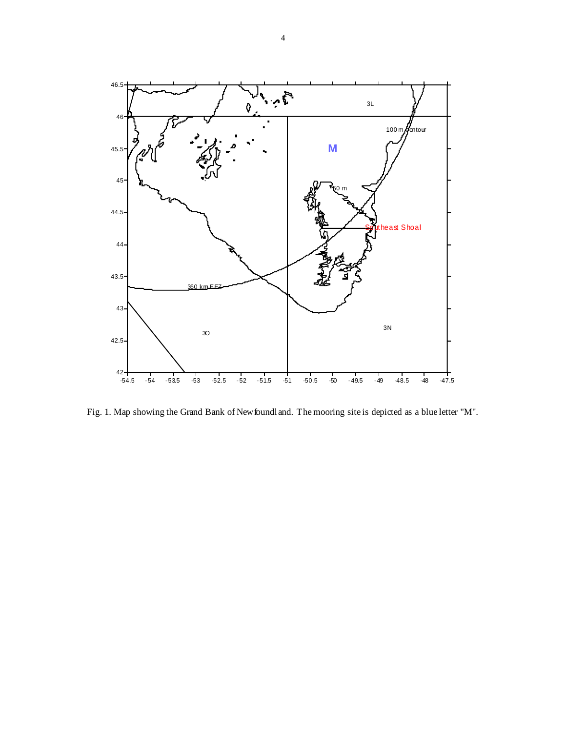

Fig. 1. Map showing the Grand Bank of Newfoundland. The mooring site is depicted as a blue letter "M".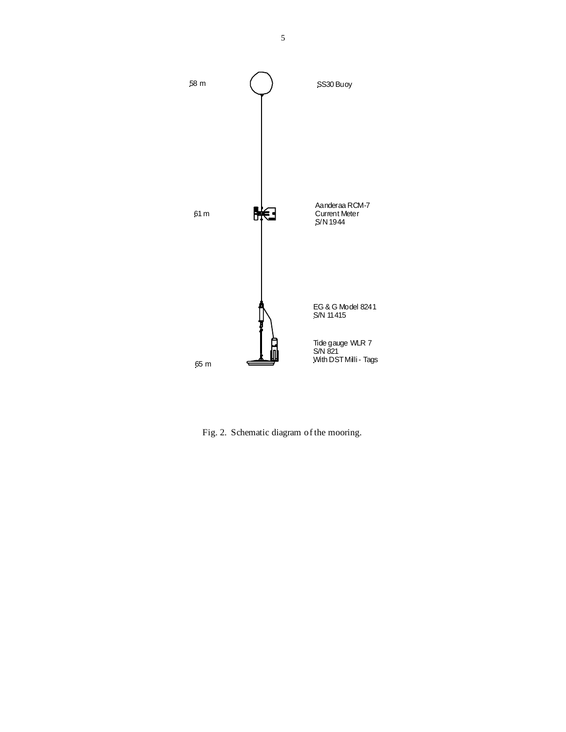

Fig. 2. Schematic diagram of the mooring.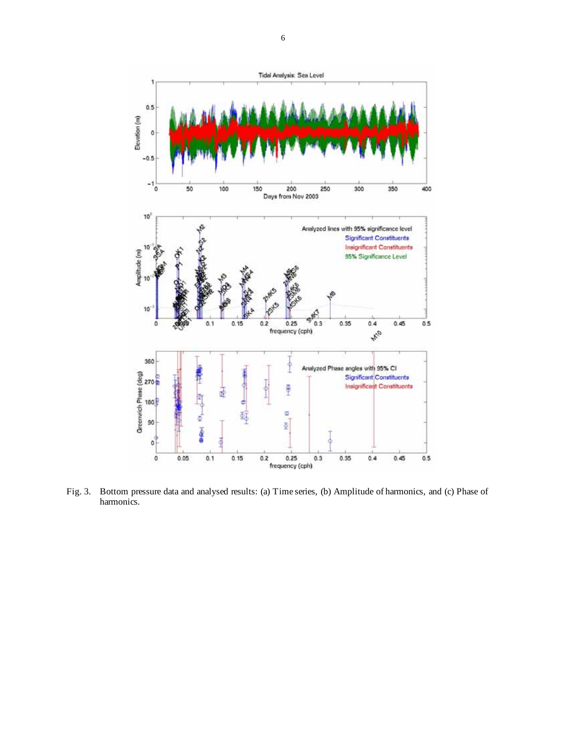

Fig. 3. Bottom pressure data and analysed results: (a) Time series, (b) Amplitude of harmonics, and (c) Phase of harmonics.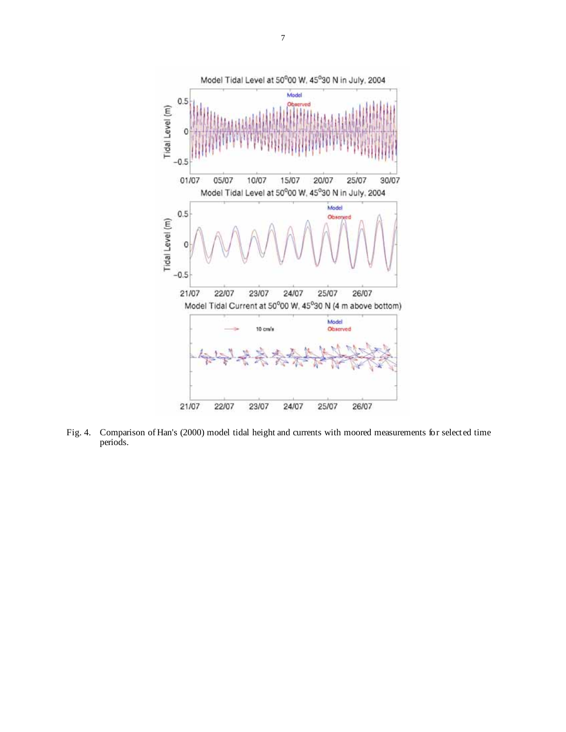

Fig. 4. Comparison of Han's (2000) model tidal height and currents with moored measurements for selected time periods.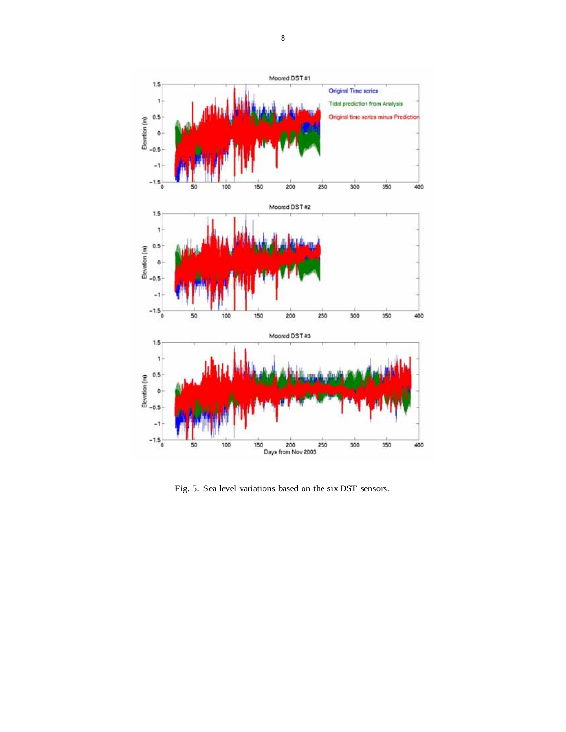

Fig. 5. Sea level variations based on the six DST sensors.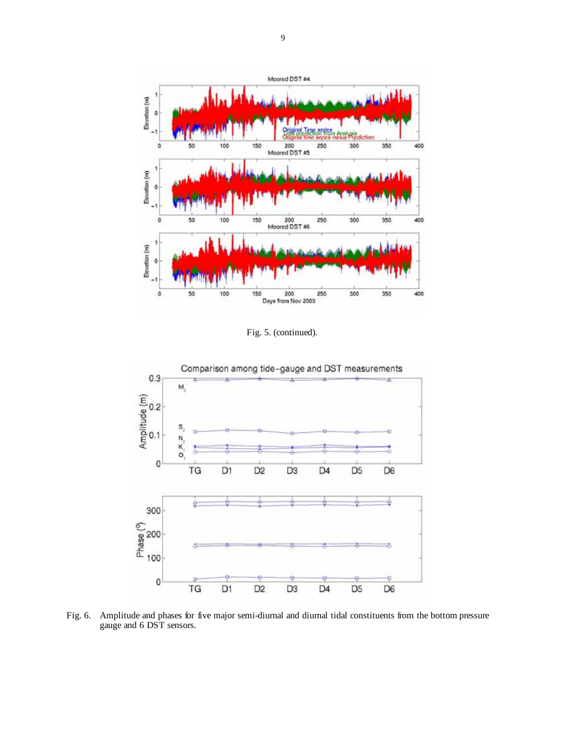

Fig. 5. (continued).



Fig. 6. Amplitude and phases for five major semi-diurnal and diurnal tidal constituents from the bottom pressure gauge and 6 DST sensors.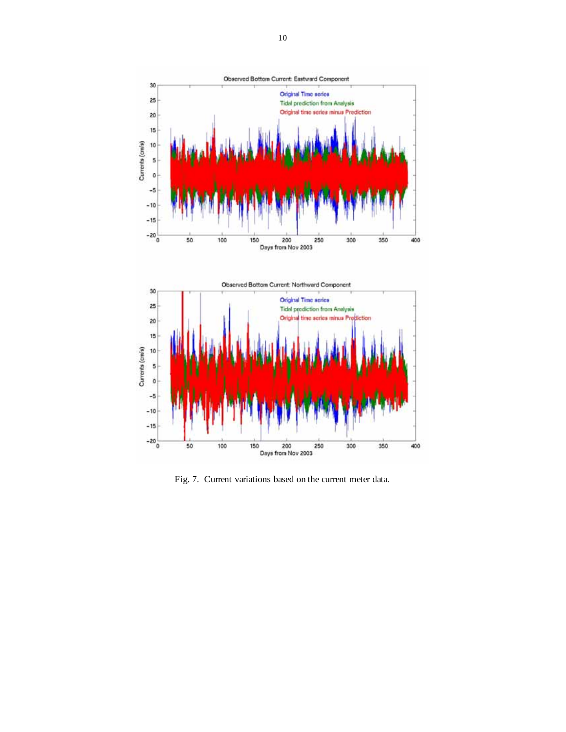



Fig. 7. Current variations based on the current meter data.